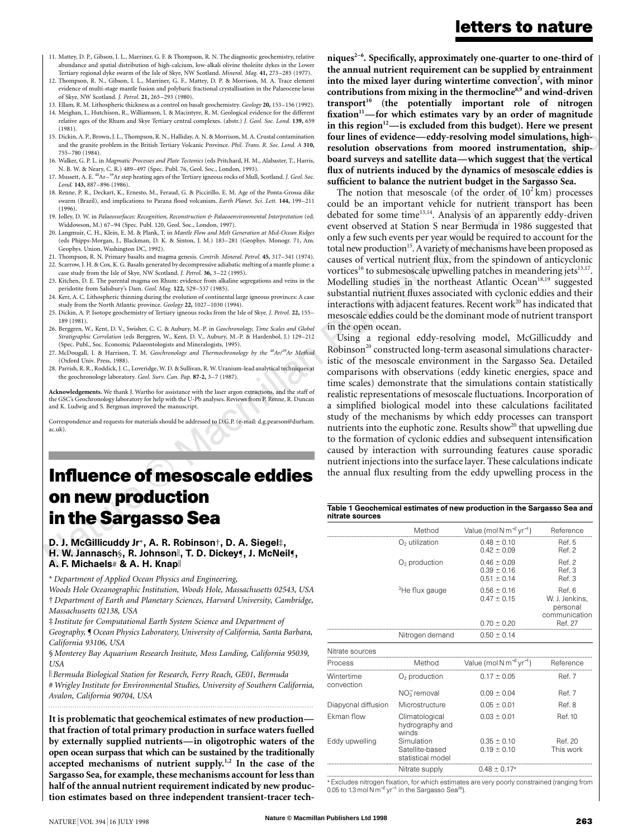- 11. Mattey, D. P., Gibson, I. L., Marriner, G. F. & Thompson, R. N. The diagnostic geochemistry, relative abundance and spatial distribution of high-calcium, low-alkali olivine tholeiite dykes in the Lower Tertiary regional dyke swarm of the Isle of Skye, NW Scotland. *Mineral. Mag.* **41,** 273–285 (1977).
- 12. Thompson, R. N., Gibson, I. L., Marriner, G. F., Mattey, D. P. & Morrison, M. A. Trace element evidence of multi-stage mantle fusion and polybaric fractional crystallisation in the Palaeocene lavas of Skye, NW Scotland. *J. Petrol.* **21,** 265–293 (1980).
- 13. Ellam, R. M. Lithospheric thickness as a control on basalt geochemistry. *Geology* **20,** 153–156 (1992). 14. Meighan, I., Hutchison, R., Williamson, I. & Macintyre, R. M. Geological evidence for the different

relative ages of the Rhum and Skye Tertiary central complexes. (abstr.) *J. Geol. Soc. Lond.* **139,** 659 (1981).

- 15. Dickin, A. P., Brown, J. L., Thompson, R. N., Halliday, A. N. & Morrison, M. A. Crustal contamination and the granite problem in the British Tertiary Volcanic Province. *Phil. Trans. R. Soc. Lond. A* **310,** 755–780 (1984).
- 16. Walker, G. P. L. in *Magmatic Processes and Plate Tectonics* (eds Pritchard, H. M., Alabaster, T., Harris, N. B. W. & Neary, C. R.) 489–497 (Spec. Publ. 76, Geol. Soc., London, 1993).
- 17. Mussett, A. E. <sup>40</sup>Ar<sup>–39</sup>Ar step heating ages of the Tertiary igneous rocks of Mull, Scotland. *J. Geol. Soc. Lond.* **143,** 887–896 (1986).
- 18. Renne, P. R., Deckart, K., Ernesto, M., Feraud, G. & Piccirillo, E. M. Age of the Ponta-Grossa dike swarm (Brazil), and implications to Parana flood volcanism. *Earth Planet. Sci. Lett.* **144,** 199–211 (1996).
- 19. Jolley, D. W. in *Palaeosurfaces: Recognition, Reconstruction & Palaeoenvironmental Interpretation* (ed. Widdowson, M.) 67–94 (Spec. Publ. 120, Geol. Soc., London, 1997).
- 20. Langmuir, C. H., Klein, E. M. & Plank, T. in *Mantle Flow and Melt Generation at Mid-Ocean Ridges* (eds Phipps-Morgan, J., Blackman, D. K. & Sinton, J. M.) 183–281 (Geophys. Monogr. 71, Am. Geophys. Union, Washington DC, 1992).
- 21. Thompson, R. N. Primary basalts and magma genesis. *Contrib. Mineral. Petrol.* **45,** 317–341 (1974). 22. Scarrow, J. H. & Cox, K. G. Basalts generated by decompressive adiabatic melting of a mantle plume: a case study from the Isle of Skye, NW Scotland. *J. Petrol.* **36,** 3–22 (1995).
- 23. Kitchen, D. E. The parental magma on Rhum: evidence from alkaline segregations and veins in the peridotite from Salisbury's Dam. *Geol. Mag.* **122,** 529–537 (1985).
- 24. Kerr, A. C. Lithospheric thinning during the evolution of continental large igneous provinces: A case study from the North Atlantic province. *Geology* **22,** 1027–1030 (1994).
- 25. Dickin, A. P. Isotope geochemistry of Tertiary igneous rocks from the Isle of Skye. *J. Petrol.* **22,** 155– 189 (1981).
- 26. Berggren, W., Kent, D. V., Swisher, C. C. & Aubury, M.-P. in *Geochronology, Time Scales and Global Stratigraphic Correlation* (eds Berggren, W., Kent, D. V., Aubury, M.-P. & Hardenbol, J.) 129–212 (Spec. Publ., Soc. Economic Palaeontologists and Mineralogists, 1995).
- 27. McDougall, I. & Harrison, T. M. *Geochronology and Thermochronology by the 40Ar/39Ar Method* (Oxford Univ. Press, 1988).
- 28. Parrish, R. R., Roddick, J. C., Loveridge, W. D. & Sullivan, R. W. Uranium-lead analytical techniques at the geochronology laboratory. *Geol. Surv. Can. Pap.* **87-2,** 3–7 (1987).

**Acknowledgements.** We thank J. Wartho for assistance with the laser argon extractions, and the staff of the GSC's Geochronology laboratory for help with the U-Pb analyses. Reviews from P. Renne, R. Duncan and K. Ludwig and S. Bergman improved the manuscript.

Correspondence and requests for materials should be addressed to D.G.P. (e-mail: d.g.pearson@durham. ac.uk).

## **Influence of mesoscale eddies on new production in the Sargasso Sea**

#### D. J. McGillicuddy Jr\*, A. R. Robinson†, D. A. Siegel‡, H. W. Jannasch , R. Johnson , T. D. Dickey , J. McNeil , A. F. Michaels# & A. H. Knap

\* *Department of Applied Ocean Physics and Engineering,*

*Woods Hole Oceanographic Institution, Woods Hole, Massachusetts 02543, USA* † *Department of Earth and Planetary Sciences, Harvard University, Cambridge, Massachusetts 02138, USA*

‡ *Institute for Computational Earth System Science and Department of Geography,* ¶ *Ocean Physics Laboratory, University of California, Santa Barbara, California 93106, USA*

§ *Monterey Bay Aquarium Research Insitute, Moss Landing, California 95039, USA*

k *Bermuda Biological Station for Research, Ferry Reach, GE01, Bermuda*

# *Wrigley Institute for Environmental Studies, University of Southern California, Avalon, California 90704, USA*

**It is problematic that geochemical estimates of new production that fraction of total primary production in surface waters fuelled by externally supplied nutrients—in oligotrophic waters of the open ocean surpass that which can be sustained by the traditionally accepted mechanisms of nutrient supply.1,2 In the case of the Sargasso Sea, for example, these mechanisms account for less than half of the annual nutrient requirement indicated by new production estimates based on three independent transient-tracer tech-**

#### esent<br>nigh-<br>ship**niques2–6. Specifically, approximately one-quarter to one-third of the annual nutrient requirement can be supplied by entrainment into the mixed layer during wintertime convection7 , with minor contributions from mixing in the thermocline8,9 and wind-driven transport10 (the potentially important role of nitrogen** fixation<sup>11</sup>—for which estimates vary by an order of magnitude in this region<sup>12</sup>—is excluded from this budget). Here we present **four lines of evidence—eddy-resolving model simulations, highresolution observations from moored instrumentation, shipboard surveys and satellite data—which suggest that the vertical flux of nutrients induced by the dynamics of mesoscale eddies is sufficient to balance the nutrient budget in the Sargasso Sea.**

The notion that mesoscale (of the order of  $10^2$  km) processes could be an important vehicle for nutrient transport has been debated for some time<sup>13,14</sup>. Analysis of an apparently eddy-driven event observed at Station S near Bermuda in 1986 suggested that only a few such events per year would be required to account for the total new production<sup>15</sup>. A variety of mechanisms have been proposed as causes of vertical nutrient flux, from the spindown of anticyclonic vortices<sup>16</sup> to submesoscale upwelling patches in meandering jets<sup>13,17</sup>. Modelling studies in the northeast Atlantic Ocean<sup>18,19</sup> suggested substantial nutrient fluxes associated with cyclonic eddies and their interactions with adjacent features. Recent work $^{20}$  has indicated that mesoscale eddies could be the dominant mode of nutrient transport in the open ocean.

Using a regional eddy-resolving model, McGillicuddy and Robinson<sup>20</sup> constructed long-term aseasonal simulations characteristic of the mesoscale environment in the Sargasso Sea. Detailed comparisons with observations (eddy kinetic energies, space and time scales) demonstrate that the simulations contain statistically realistic representations of mesoscale fluctuations. Incorporation of a simplified biological model into these calculations facilitated study of the mechanisms by which eddy processes can transport nutrients into the euphotic zone. Results show $20$  that upwelling due to the formation of cyclonic eddies and subsequent intensification caused by interaction with surrounding features cause sporadic nutrient injections into the surface layer. These calculations indicate the annual flux resulting from the eddy upwelling process in the

Table 1 Geochemical estimates of new production in the Sargasso Sea and nitrate sources

|                          | Method                                             | Value (mol N $m^{-2}$ yr <sup>-1</sup> )                  | Reference                                             |
|--------------------------|----------------------------------------------------|-----------------------------------------------------------|-------------------------------------------------------|
|                          | $O2$ utilization                                   | $0.48 \pm 0.10$<br>$0.42 \pm 0.09$                        | Ref. 5<br>Ref. 2                                      |
|                          | $O2$ production                                    | $0.46 \pm 0.09$<br>$0.39 \pm 0.16$<br>$0.51 \pm 0.14$     | Ref. 2<br>Ref. 3<br>Ref. 3                            |
|                          | <sup>3</sup> He flux gauge                         | $0.56 \pm 0.16$<br>$0.47 \pm 0.15$                        | Ref. 6<br>W. J. Jenkins,<br>personal<br>communication |
|                          |                                                    | $0.70 \pm 0.20$                                           | Ref. 27                                               |
|                          | Nitrogen demand                                    | $0.50 \pm 0.14$                                           |                                                       |
| Nitrate sources          |                                                    |                                                           |                                                       |
| <b>Process</b>           | Method                                             | Value (mol N m <sup>-2</sup> yr <sup>-1</sup> ) Reference |                                                       |
| Wintertime<br>convection | $O2$ production                                    | $0.17 \pm 0.05$                                           | Ref. 7                                                |
|                          | NO <sub>3</sub> removal                            | $0.09 \pm 0.04$                                           | Ref. 7                                                |
| Diapycnal diffusion      | Microstructure                                     | $0.05 \pm 0.01$                                           | Ref. 8                                                |
| Fkman flow               | Climatological<br>hydrography and<br>winds         | $0.03 \pm 0.01$                                           | Ref. 10                                               |
| Eddy upwelling           | Simulation<br>Satellite-based<br>statistical model | $0.35 \pm 0.10$<br>$0.19 \pm 0.10$                        | Ref. 20<br>This work                                  |
|                          | Nitrate supply                                     | $0.48 \pm 0.17*$                                          |                                                       |

\*Excludes nitrogen fixation, for which estimates are very poorly constrained (ranging from 0.05 to 1.3 mol Nm<sup>-2</sup> yr<sup>-1</sup> in the Sargasso Sea<sup>28</sup>).

## **letters to nature**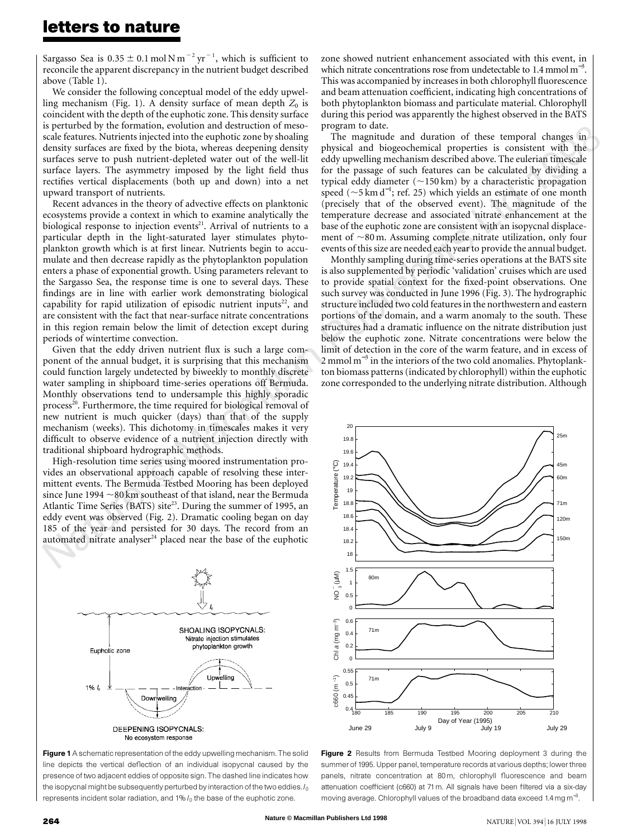Sargasso Sea is  $0.35 \pm 0.1$  mol N m<sup>-2</sup> yr<sup>-1</sup>, which is sufficient to reconcile the apparent discrepancy in the nutrient budget described above (Table 1).

We consider the following conceptual model of the eddy upwelling mechanism (Fig. 1). A density surface of mean depth  $Z_0$  is coincident with the depth of the euphotic zone. This density surface is perturbed by the formation, evolution and destruction of mesoscale features. Nutrients injected into the euphotic zone by shoaling density surfaces are fixed by the biota, whereas deepening density surfaces serve to push nutrient-depleted water out of the well-lit surface layers. The asymmetry imposed by the light field thus rectifies vertical displacements (both up and down) into a net upward transport of nutrients.

Recent advances in the theory of advective effects on planktonic ecosystems provide a context in which to examine analytically the biological response to injection events<sup>21</sup>. Arrival of nutrients to a particular depth in the light-saturated layer stimulates phytoplankton growth which is at first linear. Nutrients begin to accumulate and then decrease rapidly as the phytoplankton population enters a phase of exponential growth. Using parameters relevant to the Sargasso Sea, the response time is one to several days. These findings are in line with earlier work demonstrating biological capability for rapid utilization of episodic nutrient inputs $22$ , and are consistent with the fact that near-surface nitrate concentrations in this region remain below the limit of detection except during periods of wintertime convection.

Given that the eddy driven nutrient flux is such a large component of the annual budget, it is surprising that this mechanism could function largely undetected by biweekly to monthly discrete water sampling in shipboard time-series operations off Bermuda. Monthly observations tend to undersample this highly sporadic process<sup>20</sup>. Furthermore, the time required for biological removal of new nutrient is much quicker (days) than that of the supply mechanism (weeks). This dichotomy in timescales makes it very difficult to observe evidence of a nutrient injection directly with traditional shipboard hydrographic methods.

High-resolution time series using moored instrumentation provides an observational approach capable of resolving these intermittent events. The Bermuda Testbed Mooring has been deployed since June 1994  $\sim$ 80 km southeast of that island, near the Bermuda Atlantic Time Series (BATS) site<sup>23</sup>. During the summer of 1995, an eddy event was observed (Fig. 2). Dramatic cooling began on day 185 of the year and persisted for 30 days. The record from an automated nitrate analyser $24$  placed near the base of the euphotic



Figure 1 A schematic representation of the eddy upwelling mechanism. The solid line depicts the vertical deflection of an individual isopycnal caused by the presence of two adjacent eddies of opposite sign. The dashed line indicates how the isopycnal might be subsequently perturbed by interaction of the two eddies. *I*<sup>0</sup> represents incident solar radiation, and 1%  $I_0$  the base of the euphotic zone.

zone showed nutrient enhancement associated with this event, in which nitrate concentrations rose from undetectable to 1.4 mmol  $m^{-3}$ . This was accompanied by increases in both chlorophyll fluorescence and beam attenuation coefficient, indicating high concentrations of both phytoplankton biomass and particulate material. Chlorophyll during this period was apparently the highest observed in the BATS program to date.

 $\frac{1}{2}$  in The magnitude and duration of these temporal changes in physical and biogeochemical properties is consistent with the eddy upwelling mechanism described above. The eulerian timescale for the passage of such features can be calculated by dividing a typical eddy diameter  $(\sim150 \text{ km})$  by a characteristic propagation speed ( $\sim$ 5 km d<sup>-1</sup>; ref. 25) which yields an estimate of one month (precisely that of the observed event). The magnitude of the temperature decrease and associated nitrate enhancement at the base of the euphotic zone are consistent with an isopycnal displacement of  $\sim80$  m. Assuming complete nitrate utilization, only four events of this size are needed each year to provide the annual budget.

Monthly sampling during time-series operations at the BATS site is also supplemented by periodic 'validation' cruises which are used to provide spatial context for the fixed-point observations. One such survey was conducted in June 1996 (Fig. 3). The hydrographic structure included two cold features in the northwestern and eastern portions of the domain, and a warm anomaly to the south. These structures had a dramatic influence on the nitrate distribution just below the euphotic zone. Nitrate concentrations were below the limit of detection in the core of the warm feature, and in excess of 2 mmol m<sup>-3</sup> in the interiors of the two cold anomalies. Phytoplankton biomass patterns(indicated by chlorophyll) within the euphotic zone corresponded to the underlying nitrate distribution. Although



Figure 2 Results from Bermuda Testbed Mooring deployment 3 during the summer of 1995. Upper panel, temperature records at various depths; lower three panels, nitrate concentration at 80 m, chlorophyll fluorescence and beam attenuation coefficient (c660) at 71m. All signals have been filtered via a six-day moving average. Chlorophyll values of the broadband data exceed 1.4 mg m<sup>-3</sup>.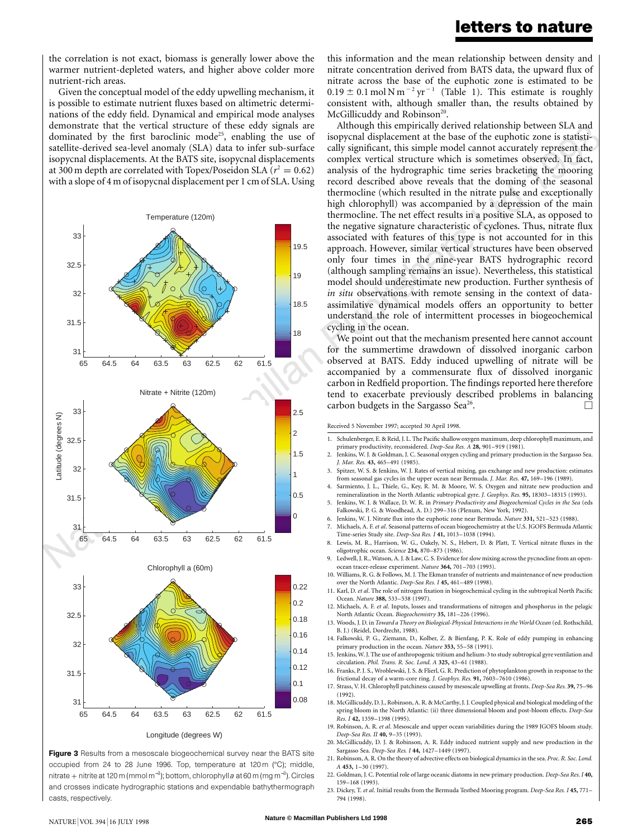#### **letters to nature**

the correlation is not exact, biomass is generally lower above the warmer nutrient-depleted waters, and higher above colder more nutrient-rich areas.

Given the conceptual model of the eddy upwelling mechanism, it is possible to estimate nutrient fluxes based on altimetric determinations of the eddy field. Dynamical and empirical mode analyses demonstrate that the vertical structure of these eddy signals are dominated by the first baroclinic mode<sup>25</sup>, enabling the use of satellite-derived sea-level anomaly (SLA) data to infer sub-surface isopycnal displacements. At the BATS site, isopycnal displacements at 300 m depth are correlated with Topex/Poseidon SLA ( $r^2 = 0.62$ ) with a slope of 4 m of isopycnal displacement per 1 cm of SLA. Using



Figure 3 Results from a mesoscale biogeochemical survey near the BATS site occupied from 24 to 28 June 1996. Top, temperature at 120 m (°C); middle, nitrate + nitrite at 120 m (mmol m<sup>−3</sup>); bottom, chlorophyll*a* at 60 m (mg m<sup>−3</sup>). Circles and crosses indicate hydrographic stations and expendable bathythermograph casts, respectively.

this information and the mean relationship between density and nitrate concentration derived from BATS data, the upward flux of nitrate across the base of the euphotic zone is estimated to be  $0.19 \pm 0.1$  mol N m<sup>-2</sup> yr<sup>-1</sup> (Table 1). This estimate is roughly consistent with, although smaller than, the results obtained by McGillicuddy and Robinson<sup>20</sup>.

Although this empirically derived relationship between SLA and<br>isopycnal displacement at the base of the euphotic zone is statisti-<br>cally significant, this simple model cannot accurately represent the Although this empirically derived relationship between SLA and isopycnal displacement at the base of the euphotic zone is statisticomplex vertical structure which is sometimes observed. In fact, analysis of the hydrographic time series bracketing the mooring record described above reveals that the doming of the seasonal thermocline (which resulted in the nitrate pulse and exceptionally high chlorophyll) was accompanied by a depression of the main thermocline. The net effect results in a positive SLA, as opposed to the negative signature characteristic of cyclones. Thus, nitrate flux associated with features of this type is not accounted for in this approach. However, similar vertical structures have been observed only four times in the nine-year BATS hydrographic record (although sampling remains an issue). Nevertheless, this statistical model should underestimate new production. Further synthesis of *in situ* observations with remote sensing in the context of dataassimilative dynamical models offers an opportunity to better understand the role of intermittent processes in biogeochemical cycling in the ocean.

We point out that the mechanism presented here cannot account for the summertime drawdown of dissolved inorganic carbon observed at BATS. Eddy induced upwelling of nitrate will be accompanied by a commensurate flux of dissolved inorganic carbon in Redfield proportion. The findings reported here therefore tend to exacerbate previously described problems in balancing carbon budgets in the Sargasso Sea<sup>26</sup>.

Received 5 November 1997; accepted 30 April 1998.

- 1. Schulenberger, E. & Reid, J. L. The Pacific shallowoxygen maximum, deep chlorophyll maximum, and primary productivity, reconsidered. *Deep-Sea Res. A* **28,** 901–919 (1981).
- 2. Jenkins, W. J. & Goldman, J. C. Seasonal oxygen cycling and primary production in the Sargasso Sea. *J. Mar. Res.* **43,** 465–491 (1985).
- 3. Spitzer, W. S. & Jenkins, W. J. Rates of vertical mixing, gas exchange and new production: estimates from seasonal gas cycles in the upper ocean near Bermuda. *J. Mar. Res.* **47,** 169–196 (1989).
- 4. Sarmiento, J. L., Thiele, G., Key, R. M. & Moore, W. S. Oxygen and nitrate new production and remineralization in the North Atlantic subtropical gyre. *J. Geophys. Res.* **95,** 18303–18315 (1993).
- 5. Jenkins, W. J. & Wallace, D. W. R. in *Primary Productivity and Biogeochemical Cycles in the Sea* (eds Falkowski, P. G. & Woodhead, A. D.) 299–316 (Plenum, New York, 1992).
- 6. Jenkins, W. J. Nitrate flux into the euphotic zone near Bermuda. *Nature* **331,** 521–523 (1988). 7. Michaels, A. F. *et al*. Seasonal patterns of ocean biogeochemistry at the U.S. JGOFS Bermuda Atlantic
- Time-series Study site. *Deep-Sea Res. I* **41,** 1013–1038 (1994). 8. Lewis, M. R., Harrison, W. G., Oakely, N. S., Hebert, D. & Platt, T. Vertical nitrate fluxes in the
- oligotrophic ocean. *Science* **234,** 870–873 (1986). 9. Ledwell, J. R., Watson, A. J. & Law, C. S. Evidence forslow mixing acrossthe pycnocline from an open-
- ocean tracer-release experiment. *Nature* **364,** 701–703 (1993). 10. Williams, R. G. & Follows, M. J. The Ekman transfer of nutrients and maintenance of new production
- over the North Atlantic. *Deep-Sea Res. I* **45,** 461–489 (1998). 11. Karl, D. *et al*. The role of nitrogen fixation in biogeochemical cycling in the subtropical North Pacific
- Ocean. *Nature* **388,** 533–538 (1997). 12. Michaels, A. F. *et al*. Inputs, losses and transformations of nitrogen and phosphorus in the pelagic North Atlantic Ocean. *Biogeochemistry* **35,** 181–226 (1996).
- 13. Woods, J. D. in *Toward a Theory on Biological-Physical Interactions in the World Ocean* (ed. Rothschild, B. J.) (Reidel, Dordrecht, 1988).
- 14. Falkowski, P. G., Ziemann, D., Kolber, Z. & Bienfang, P. K. Role of eddy pumping in enhancing primary production in the ocean. *Nature* **353,** 55–58 (1991).
- 15. Jenkins, W. J. The use of anthropogenic tritium and helium-3 to study subtropical gyre ventilation and circulation. *Phil. Trans. R. Soc. Lond. A* **325,** 43–61 (1988).
- 16. Franks, P. J. S., Wroblewski, J. S. & Flierl, G. R. Prediction of phytoplankton growth in response to the frictional decay of a warm-core ring. *J. Geophys. Res.* **91,** 7603–7610 (1986).
- 17. Strass, V. H. Chlorophyll patchiness caused by mesoscale upwelling at fronts. *Deep-Sea Res.* **39,** 75–96 (1992).
- 18. McGillicuddy, D. J., Robinson, A. R. & McCarthy, J. J. Coupled physical and biological modeling of the spring bloom in the North Atlantic: (ii) three dimensional bloom and post-bloom effects. *Deep-Sea Res. I* **42,** 1359–1398 (1995).
- 19. Robinson, A. R. *et al*. Mesoscale and upper ocean variabilities during the 1989 JGOFS bloom study. *Deep-Sea Res. II* **40,** 9–35 (1993).
- 20. McGillicuddy, D. J. & Robinson, A. R. Eddy induced nutrient supply and new production in the Sargasso Sea. *Deep-Sea Res. I* **44,** 1427–1449 (1997).
- 21. Robinson, A. R. On the theory of advective effects on biological dynamicsin the sea. *Proc. R. Soc. Lond. A* **453,** 1–30 (1997).
- 22. Goldman, J. C. Potential role of large oceanic diatoms in new primary production. *Deep-Sea Res. I* **40,** 159–168 (1993).
- 23. Dickey, T. *et al*. Initial results from the Bermuda Testbed Mooring program. *Deep-Sea Res. I* **45,** 771– 794 (1998).